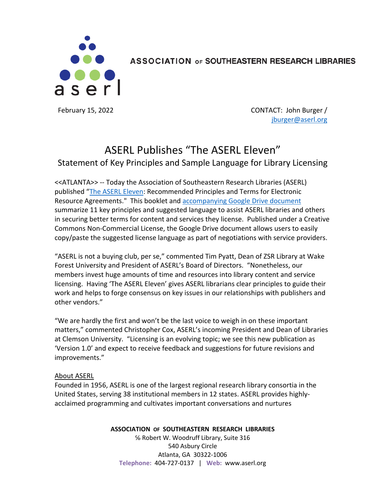

ASSOCIATION OF SOUTHEASTERN RESEARCH LIBRARIES

February 15, 2022 **CONTACT:** John Burger / jburger@aserl.org

## ASERL Publishes "The ASERL Eleven" Statement of Key Principles and Sample Language for Library Licensing

<<ATLANTA>> -- Today the Association of Southeastern Research Libraries (ASERL) published "The ASERL Eleven: Recommended Principles and Terms for Electronic Resource Agreements." This booklet and accompanying Google Drive document summarize 11 key principles and suggested language to assist ASERL libraries and others in securing better terms for content and services they license. Published under a Creative Commons Non-Commercial License, the Google Drive document allows users to easily copy/paste the suggested license language as part of negotiations with service providers.

"ASERL is not a buying club, per se," commented Tim Pyatt, Dean of ZSR Library at Wake Forest University and President of ASERL's Board of Directors. "Nonetheless, our members invest huge amounts of time and resources into library content and service licensing. Having 'The ASERL Eleven' gives ASERL librarians clear principles to guide their work and helps to forge consensus on key issues in our relationships with publishers and other vendors."

"We are hardly the first and won't be the last voice to weigh in on these important matters," commented Christopher Cox, ASERL's incoming President and Dean of Libraries at Clemson University. "Licensing is an evolving topic; we see this new publication as 'Version 1.0' and expect to receive feedback and suggestions for future revisions and improvements."

## About ASERL

Founded in 1956, ASERL is one of the largest regional research library consortia in the United States, serving 38 institutional members in 12 states. ASERL provides highlyacclaimed programming and cultivates important conversations and nurtures

## **ASSOCIATION OF SOUTHEASTERN RESEARCH LIBRARIES**

℅ Robert W. Woodruff Library, Suite 316 540 Asbury Circle Atlanta, GA 30322-1006 **Telephone:** 404-727-0137 | **Web:** www.aserl.org